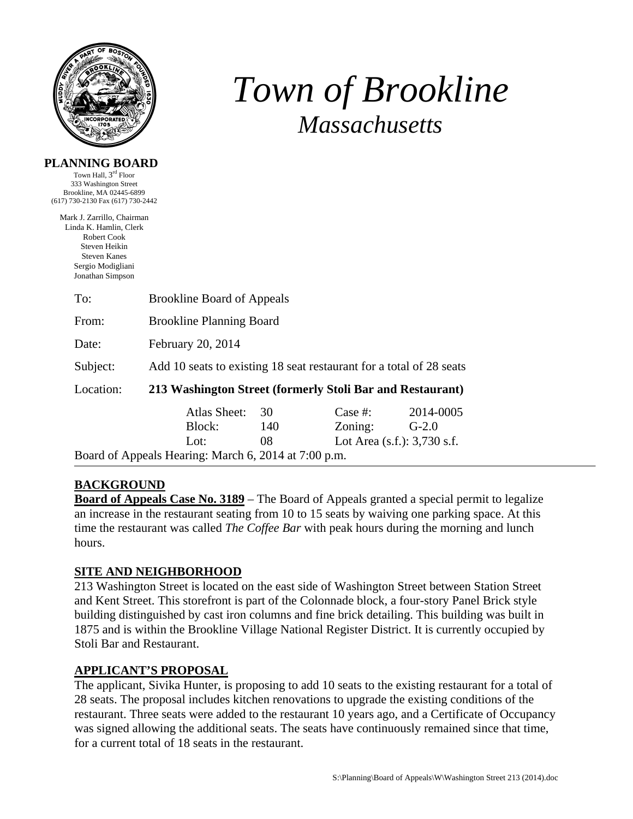

# *Town of Brookline Massachusetts*

| PLANNING BOARD                                             |  |
|------------------------------------------------------------|--|
| $T_{\text{own}}$ $H_011$ $2^{\text{rd}}$ $F_{\text{locr}}$ |  |

Town Hall, 3rd Floor 333 Washington Street Brookline, MA 02445-6899 (617) 730-2130 Fax (617) 730-2442

Mark J. Zarrillo, Chairman Linda K. Hamlin, Clerk Robert Cook Steven Heikin Steven Kanes Sergio Modigliani Jonathan Simpson

| To:                                                  | <b>Brookline Board of Appeals</b>                                   |     |                                |           |  |  |  |
|------------------------------------------------------|---------------------------------------------------------------------|-----|--------------------------------|-----------|--|--|--|
| From:                                                | <b>Brookline Planning Board</b>                                     |     |                                |           |  |  |  |
| Date:                                                | February 20, 2014                                                   |     |                                |           |  |  |  |
| Subject:                                             | Add 10 seats to existing 18 seat restaurant for a total of 28 seats |     |                                |           |  |  |  |
| Location:                                            | 213 Washington Street (formerly Stoli Bar and Restaurant)           |     |                                |           |  |  |  |
|                                                      | Atlas Sheet:                                                        | 30  | Case $#$ :                     | 2014-0005 |  |  |  |
|                                                      | Block:                                                              | 140 | Zoning:                        | $G-2.0$   |  |  |  |
|                                                      | Lot:                                                                | 08  | Lot Area $(s.f.)$ : 3,730 s.f. |           |  |  |  |
| Board of Appeals Hearing: March 6, 2014 at 7:00 p.m. |                                                                     |     |                                |           |  |  |  |

# **BACKGROUND**

**Board of Appeals Case No. 3189** – The Board of Appeals granted a special permit to legalize an increase in the restaurant seating from 10 to 15 seats by waiving one parking space. At this time the restaurant was called *The Coffee Bar* with peak hours during the morning and lunch hours.

# **SITE AND NEIGHBORHOOD**

213 Washington Street is located on the east side of Washington Street between Station Street and Kent Street. This storefront is part of the Colonnade block, a four-story Panel Brick style building distinguished by cast iron columns and fine brick detailing. This building was built in 1875 and is within the Brookline Village National Register District. It is currently occupied by Stoli Bar and Restaurant.

# **APPLICANT'S PROPOSAL**

The applicant, Sivika Hunter, is proposing to add 10 seats to the existing restaurant for a total of 28 seats. The proposal includes kitchen renovations to upgrade the existing conditions of the restaurant. Three seats were added to the restaurant 10 years ago, and a Certificate of Occupancy was signed allowing the additional seats. The seats have continuously remained since that time, for a current total of 18 seats in the restaurant.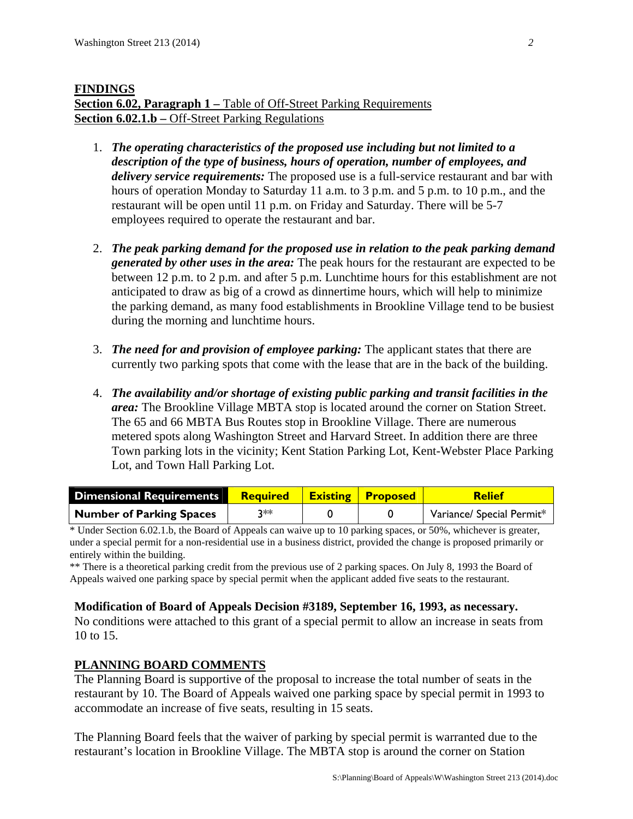# **FINDINGS Section 6.02, Paragraph 1 – Table of Off-Street Parking Requirements Section 6.02.1.b** – Off-Street Parking Regulations

- 1. *The operating characteristics of the proposed use including but not limited to a description of the type of business, hours of operation, number of employees, and delivery service requirements:* The proposed use is a full-service restaurant and bar with hours of operation Monday to Saturday 11 a.m. to 3 p.m. and 5 p.m. to 10 p.m., and the restaurant will be open until 11 p.m. on Friday and Saturday. There will be 5-7 employees required to operate the restaurant and bar.
- 2. *The peak parking demand for the proposed use in relation to the peak parking demand generated by other uses in the area:* The peak hours for the restaurant are expected to be between 12 p.m. to 2 p.m. and after 5 p.m. Lunchtime hours for this establishment are not anticipated to draw as big of a crowd as dinnertime hours, which will help to minimize the parking demand, as many food establishments in Brookline Village tend to be busiest during the morning and lunchtime hours.
- 3. *The need for and provision of employee parking:* The applicant states that there are currently two parking spots that come with the lease that are in the back of the building.
- 4. *The availability and/or shortage of existing public parking and transit facilities in the area:* The Brookline Village MBTA stop is located around the corner on Station Street. The 65 and 66 MBTA Bus Routes stop in Brookline Village. There are numerous metered spots along Washington Street and Harvard Street. In addition there are three Town parking lots in the vicinity; Kent Station Parking Lot, Kent-Webster Place Parking Lot, and Town Hall Parking Lot.

| <b>Dimensional Requirements</b> | <b>Required</b> | <b>Existing Proposed</b> | <b>Relief</b>             |
|---------------------------------|-----------------|--------------------------|---------------------------|
| Number of Parking Spaces        | ว∗∗             |                          | Variance/ Special Permit* |

\* Under Section 6.02.1.b, the Board of Appeals can waive up to 10 parking spaces, or 50%, whichever is greater, under a special permit for a non-residential use in a business district, provided the change is proposed primarily or entirely within the building.

\*\* There is a theoretical parking credit from the previous use of 2 parking spaces. On July 8, 1993 the Board of Appeals waived one parking space by special permit when the applicant added five seats to the restaurant.

### **Modification of Board of Appeals Decision #3189, September 16, 1993, as necessary.**

No conditions were attached to this grant of a special permit to allow an increase in seats from 10 to 15.

# **PLANNING BOARD COMMENTS**

The Planning Board is supportive of the proposal to increase the total number of seats in the restaurant by 10. The Board of Appeals waived one parking space by special permit in 1993 to accommodate an increase of five seats, resulting in 15 seats.

The Planning Board feels that the waiver of parking by special permit is warranted due to the restaurant's location in Brookline Village. The MBTA stop is around the corner on Station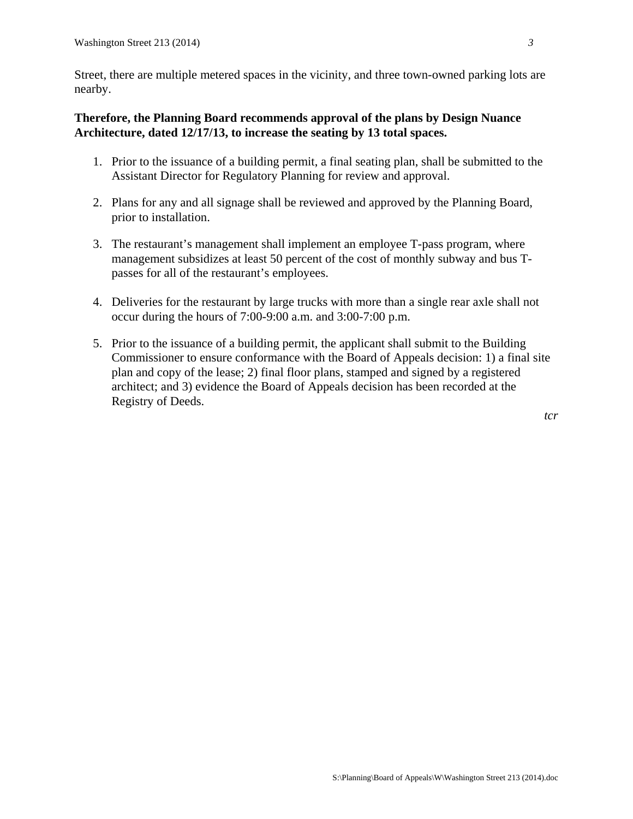Street, there are multiple metered spaces in the vicinity, and three town-owned parking lots are nearby.

### **Therefore, the Planning Board recommends approval of the plans by Design Nuance Architecture, dated 12/17/13, to increase the seating by 13 total spaces.**

- 1. Prior to the issuance of a building permit, a final seating plan, shall be submitted to the Assistant Director for Regulatory Planning for review and approval.
- 2. Plans for any and all signage shall be reviewed and approved by the Planning Board, prior to installation.
- 3. The restaurant's management shall implement an employee T-pass program, where management subsidizes at least 50 percent of the cost of monthly subway and bus Tpasses for all of the restaurant's employees.
- 4. Deliveries for the restaurant by large trucks with more than a single rear axle shall not occur during the hours of 7:00-9:00 a.m. and 3:00-7:00 p.m.
- 5. Prior to the issuance of a building permit, the applicant shall submit to the Building Commissioner to ensure conformance with the Board of Appeals decision: 1) a final site plan and copy of the lease; 2) final floor plans, stamped and signed by a registered architect; and 3) evidence the Board of Appeals decision has been recorded at the Registry of Deeds.

*tcr*